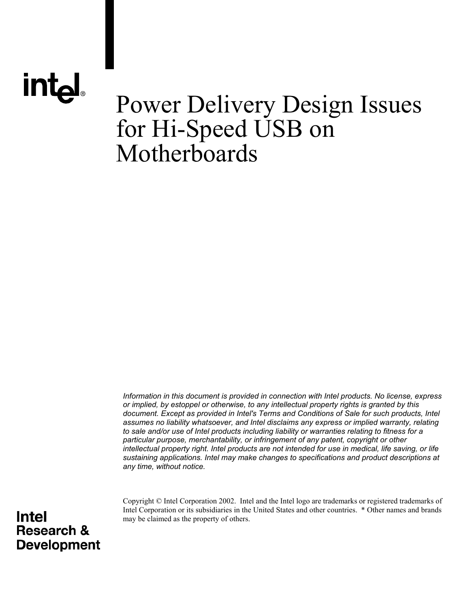# **intal**

### Power Delivery Design Issues for Hi-Speed USB on Motherboards

*Information in this document is provided in connection with Intel products. No license, express or implied, by estoppel or otherwise, to any intellectual property rights is granted by this document. Except as provided in Intel's Terms and Conditions of Sale for such products, Intel assumes no liability whatsoever, and Intel disclaims any express or implied warranty, relating to sale and/or use of Intel products including liability or warranties relating to fitness for a particular purpose, merchantability, or infringement of any patent, copyright or other intellectual property right. Intel products are not intended for use in medical, life saving, or life sustaining applications. Intel may make changes to specifications and product descriptions at any time, without notice.*

Copyright © Intel Corporation 2002. Intel and the Intel logo are trademarks or registered trademarks of Intel Corporation or its subsidiaries in the United States and other countries. \* Other names and brands may be claimed as the property of others.

#### **Intel Research & Development**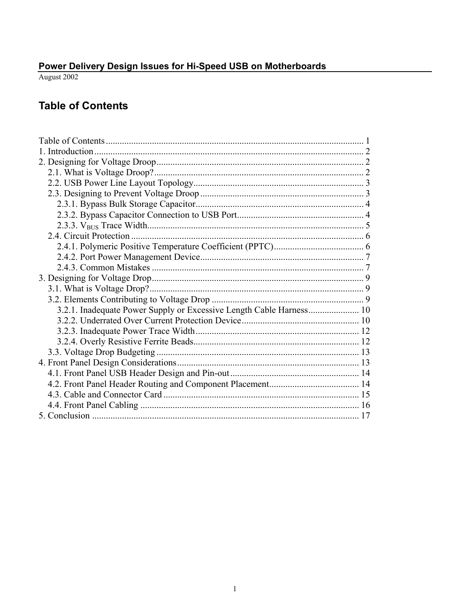<span id="page-1-0"></span>

#### **Table of Contents**

| 3.2.1. Inadequate Power Supply or Excessive Length Cable Harness 10 |  |
|---------------------------------------------------------------------|--|
|                                                                     |  |
|                                                                     |  |
|                                                                     |  |
|                                                                     |  |
|                                                                     |  |
|                                                                     |  |
|                                                                     |  |
|                                                                     |  |
|                                                                     |  |
|                                                                     |  |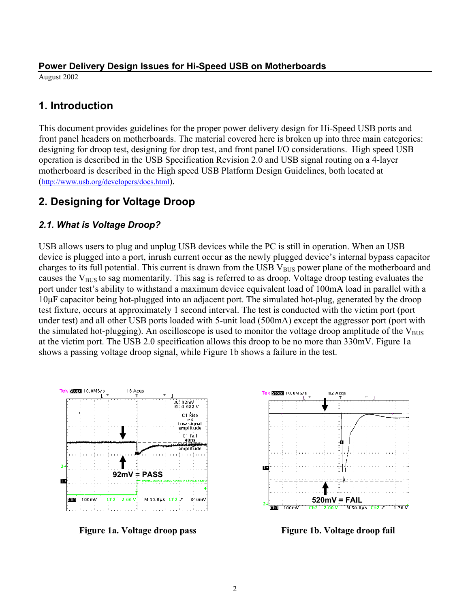<span id="page-2-0"></span>August 2002

#### **1. Introduction**

This document provides guidelines for the proper power delivery design for Hi-Speed USB ports and front panel headers on motherboards. The material covered here is broken up into three main categories: designing for droop test, designing for drop test, and front panel I/O considerations. High speed USB operation is described in the USB Specification Revision 2.0 and USB signal routing on a 4-layer motherboard is described in the High speed USB Platform Design Guidelines, both located at [\(http://www.usb.org/developers/docs.html\)](http://www.usb.org/developers/docs.html).

#### **2. Designing for Voltage Droop**

#### *2.1. What is Voltage Droop?*

USB allows users to plug and unplug USB devices while the PC is still in operation. When an USB device is plugged into a port, inrush current occur as the newly plugged device's internal bypass capacitor charges to its full potential. This current is drawn from the USB  $V_{BUS}$  power plane of the motherboard and causes the  $V_{BUS}$  to sag momentarily. This sag is referred to as droop. Voltage droop testing evaluates the port under test's ability to withstand a maximum device equivalent load of 100mA load in parallel with a 10µF capacitor being hot-plugged into an adjacent port. The simulated hot-plug, generated by the droop test fixture, occurs at approximately 1 second interval. The test is conducted with the victim port (port under test) and all other USB ports loaded with 5-unit load (500mA) except the aggressor port (port with the simulated hot-plugging). An oscilloscope is used to monitor the voltage droop amplitude of the  $V_{\text{RUS}}$ at the victim port. The USB 2.0 specification allows this droop to be no more than 330mV. Figure 1a shows a passing voltage droop signal, while Figure 1b shows a failure in the test.



**Figure 1a. Voltage droop pass Figure 1b. Voltage droop fail** 

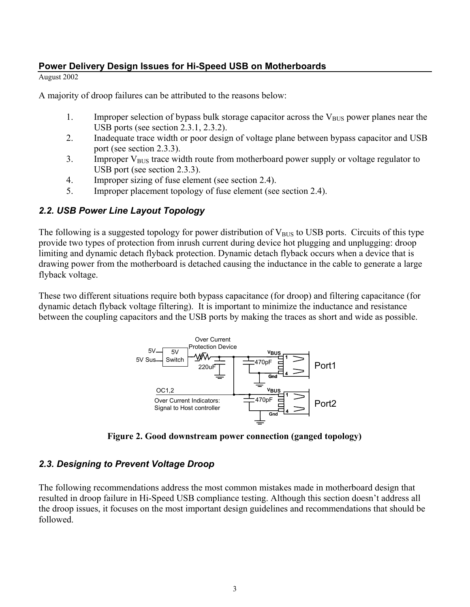<span id="page-3-0"></span>August 2002

A majority of droop failures can be attributed to the reasons below:

- 1. Improper selection of bypass bulk storage capacitor across the  $V_{\text{BUS}}$  power planes near the USB ports (see section 2.3.1, 2.3.2).
- 2. Inadequate trace width or poor design of voltage plane between bypass capacitor and USB port (see section 2.3.3).
- 3. Improper  $V_{\text{BUS}}$  trace width route from motherboard power supply or voltage regulator to USB port (see section 2.3.3).
- 4. Improper sizing of fuse element (see section 2.4).
- 5. Improper placement topology of fuse element (see section 2.4).

#### *2.2. USB Power Line Layout Topology*

The following is a suggested topology for power distribution of  $V_{\text{RUS}}$  to USB ports. Circuits of this type provide two types of protection from inrush current during device hot plugging and unplugging: droop limiting and dynamic detach flyback protection. Dynamic detach flyback occurs when a device that is drawing power from the motherboard is detached causing the inductance in the cable to generate a large flyback voltage.

These two different situations require both bypass capacitance (for droop) and filtering capacitance (for dynamic detach flyback voltage filtering). It is important to minimize the inductance and resistance between the coupling capacitors and the USB ports by making the traces as short and wide as possible.



**Figure 2. Good downstream power connection (ganged topology)** 

#### *2.3. Designing to Prevent Voltage Droop*

The following recommendations address the most common mistakes made in motherboard design that resulted in droop failure in Hi-Speed USB compliance testing. Although this section doesn't address all the droop issues, it focuses on the most important design guidelines and recommendations that should be followed.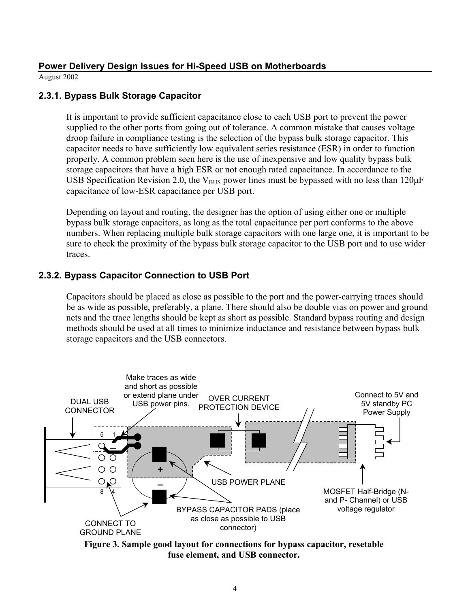<span id="page-4-0"></span>August 2002

#### **2.3.1. Bypass Bulk Storage Capacitor**

It is important to provide sufficient capacitance close to each USB port to prevent the power supplied to the other ports from going out of tolerance. A common mistake that causes voltage droop failure in compliance testing is the selection of the bypass bulk storage capacitor. This capacitor needs to have sufficiently low equivalent series resistance (ESR) in order to function properly. A common problem seen here is the use of inexpensive and low quality bypass bulk storage capacitors that have a high ESR or not enough rated capacitance. In accordance to the USB Specification Revision 2.0, the  $V_{\text{BUS}}$  power lines must be bypassed with no less than 120 $\mu$ F capacitance of low-ESR capacitance per USB port.

Depending on layout and routing, the designer has the option of using either one or multiple bypass bulk storage capacitors, as long as the total capacitance per port conforms to the above numbers. When replacing multiple bulk storage capacitors with one large one, it is important to be sure to check the proximity of the bypass bulk storage capacitor to the USB port and to use wider traces.

#### **2.3.2. Bypass Capacitor Connection to USB Port**

Capacitors should be placed as close as possible to the port and the power-carrying traces should be as wide as possible, preferably, a plane. There should also be double vias on power and ground nets and the trace lengths should be kept as short as possible. Standard bypass routing and design methods should be used at all times to minimize inductance and resistance between bypass bulk storage capacitors and the USB connectors.



**Figure 3. Sample good layout for connections for bypass capacitor, resetable fuse element, and USB connector.**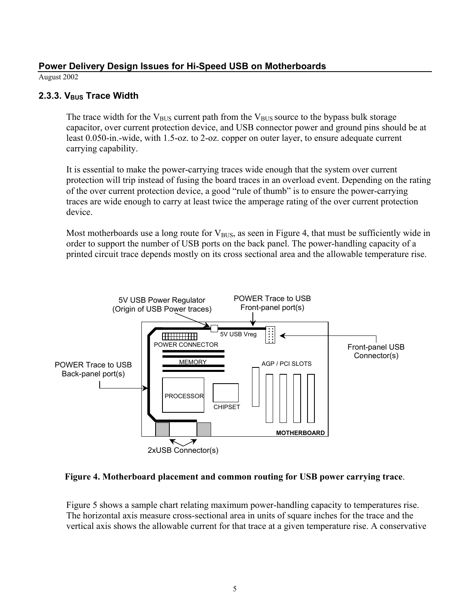<span id="page-5-0"></span>August 2002

#### 2.3.3. V<sub>BUS</sub> Trace Width

The trace width for the  $V_{\text{BUS}}$  current path from the  $V_{\text{BUS}}$  source to the bypass bulk storage capacitor, over current protection device, and USB connector power and ground pins should be at least 0.050-in.-wide, with 1.5-oz. to 2-oz. copper on outer layer, to ensure adequate current carrying capability.

It is essential to make the power-carrying traces wide enough that the system over current protection will trip instead of fusing the board traces in an overload event. Depending on the rating of the over current protection device, a good "rule of thumb" is to ensure the power-carrying traces are wide enough to carry at least twice the amperage rating of the over current protection device.

Most motherboards use a long route for  $V_{BUS}$ , as seen in Figure 4, that must be sufficiently wide in order to support the number of USB ports on the back panel. The power-handling capacity of a printed circuit trace depends mostly on its cross sectional area and the allowable temperature rise.



**Figure 4. Motherboard placement and common routing for USB power carrying trace**.

Figure 5 shows a sample chart relating maximum power-handling capacity to temperatures rise. The horizontal axis measure cross-sectional area in units of square inches for the trace and the vertical axis shows the allowable current for that trace at a given temperature rise. A conservative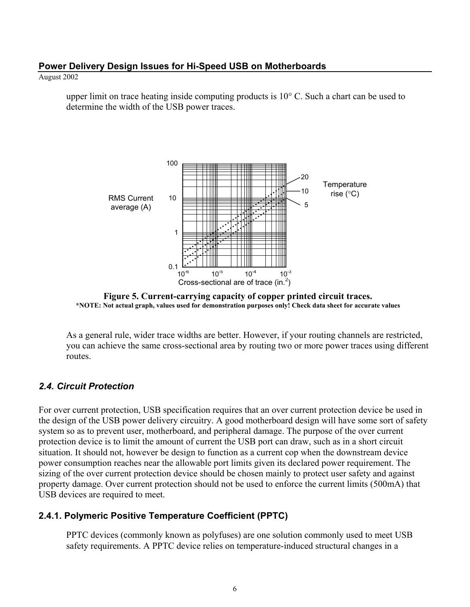#### <span id="page-6-0"></span>August 2002

upper limit on trace heating inside computing products is 10° C. Such a chart can be used to determine the width of the USB power traces.



**Figure 5. Current-carrying capacity of copper printed circuit traces. \*NOTE: Not actual graph, values used for demonstration purposes only! Check data sheet for accurate values**

As a general rule, wider trace widths are better. However, if your routing channels are restricted, you can achieve the same cross-sectional area by routing two or more power traces using different routes.

#### *2.4. Circuit Protection*

For over current protection, USB specification requires that an over current protection device be used in the design of the USB power delivery circuitry. A good motherboard design will have some sort of safety system so as to prevent user, motherboard, and peripheral damage. The purpose of the over current protection device is to limit the amount of current the USB port can draw, such as in a short circuit situation. It should not, however be design to function as a current cop when the downstream device power consumption reaches near the allowable port limits given its declared power requirement. The sizing of the over current protection device should be chosen mainly to protect user safety and against property damage. Over current protection should not be used to enforce the current limits (500mA) that USB devices are required to meet.

#### **2.4.1. Polymeric Positive Temperature Coefficient (PPTC)**

PPTC devices (commonly known as polyfuses) are one solution commonly used to meet USB safety requirements. A PPTC device relies on temperature-induced structural changes in a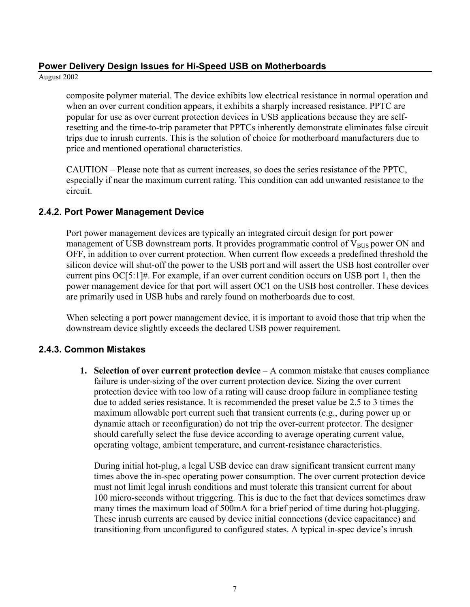<span id="page-7-0"></span>August 2002

composite polymer material. The device exhibits low electrical resistance in normal operation and when an over current condition appears, it exhibits a sharply increased resistance. PPTC are popular for use as over current protection devices in USB applications because they are selfresetting and the time-to-trip parameter that PPTCs inherently demonstrate eliminates false circuit trips due to inrush currents. This is the solution of choice for motherboard manufacturers due to price and mentioned operational characteristics.

CAUTION – Please note that as current increases, so does the series resistance of the PPTC, especially if near the maximum current rating. This condition can add unwanted resistance to the circuit.

#### **2.4.2. Port Power Management Device**

Port power management devices are typically an integrated circuit design for port power management of USB downstream ports. It provides programmatic control of  $V_{BUS}$  power ON and OFF, in addition to over current protection. When current flow exceeds a predefined threshold the silicon device will shut-off the power to the USB port and will assert the USB host controller over current pins OC[5:1]#. For example, if an over current condition occurs on USB port 1, then the power management device for that port will assert OC1 on the USB host controller. These devices are primarily used in USB hubs and rarely found on motherboards due to cost.

When selecting a port power management device, it is important to avoid those that trip when the downstream device slightly exceeds the declared USB power requirement.

#### **2.4.3. Common Mistakes**

**1. Selection of over current protection device** – A common mistake that causes compliance failure is under-sizing of the over current protection device. Sizing the over current protection device with too low of a rating will cause droop failure in compliance testing due to added series resistance. It is recommended the preset value be 2.5 to 3 times the maximum allowable port current such that transient currents (e.g., during power up or dynamic attach or reconfiguration) do not trip the over-current protector. The designer should carefully select the fuse device according to average operating current value, operating voltage, ambient temperature, and current-resistance characteristics.

During initial hot-plug, a legal USB device can draw significant transient current many times above the in-spec operating power consumption. The over current protection device must not limit legal inrush conditions and must tolerate this transient current for about 100 micro-seconds without triggering. This is due to the fact that devices sometimes draw many times the maximum load of 500mA for a brief period of time during hot-plugging. These inrush currents are caused by device initial connections (device capacitance) and transitioning from unconfigured to configured states. A typical in-spec device's inrush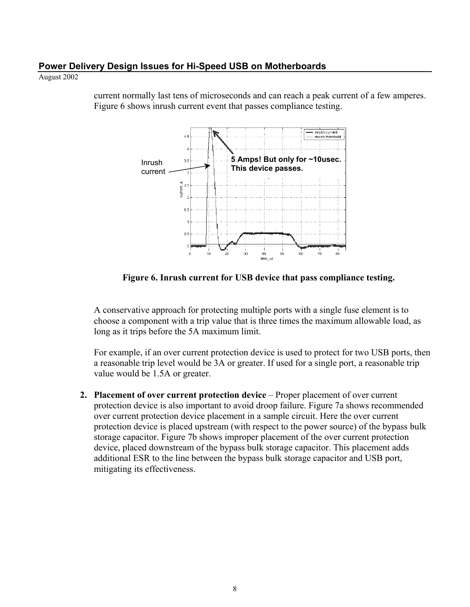August 2002

inrush current inrush threshold **5 Amps! But only for ~10usec.**   $35$ Inrush **This device passes.** current - $\frac{4}{3}$  2.  $\ddot{\phantom{a}}$  $0.9$  $\overline{r}$ 40 50 60

current normally last tens of microseconds and can reach a peak current of a few amperes. Figure 6 shows inrush current event that passes compliance testing.

**Figure 6. Inrush current for USB device that pass compliance testing.** 

tine, us

A conservative approach for protecting multiple ports with a single fuse element is to choose a component with a trip value that is three times the maximum allowable load, as long as it trips before the 5A maximum limit.

For example, if an over current protection device is used to protect for two USB ports, then a reasonable trip level would be 3A or greater. If used for a single port, a reasonable trip value would be 1.5A or greater.

**2. Placement of over current protection device** – Proper placement of over current protection device is also important to avoid droop failure. Figure 7a shows recommended over current protection device placement in a sample circuit. Here the over current protection device is placed upstream (with respect to the power source) of the bypass bulk storage capacitor. Figure 7b shows improper placement of the over current protection device, placed downstream of the bypass bulk storage capacitor. This placement adds additional ESR to the line between the bypass bulk storage capacitor and USB port, mitigating its effectiveness.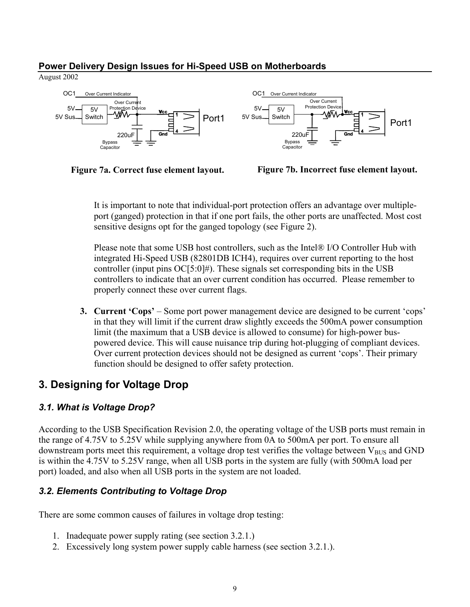<span id="page-9-0"></span>August 2002







It is important to note that individual-port protection offers an advantage over multipleport (ganged) protection in that if one port fails, the other ports are unaffected. Most cost sensitive designs opt for the ganged topology (see Figure 2).

Please note that some USB host controllers, such as the Intel® I/O Controller Hub with integrated Hi-Speed USB (82801DB ICH4), requires over current reporting to the host controller (input pins  $OC[5:0]$ #). These signals set corresponding bits in the USB controllers to indicate that an over current condition has occurred. Please remember to properly connect these over current flags.

**3. Current 'Cops'** – Some port power management device are designed to be current 'cops' in that they will limit if the current draw slightly exceeds the 500mA power consumption limit (the maximum that a USB device is allowed to consume) for high-power buspowered device. This will cause nuisance trip during hot-plugging of compliant devices. Over current protection devices should not be designed as current 'cops'. Their primary function should be designed to offer safety protection.

#### **3. Designing for Voltage Drop**

#### *3.1. What is Voltage Drop?*

According to the USB Specification Revision 2.0, the operating voltage of the USB ports must remain in the range of 4.75V to 5.25V while supplying anywhere from 0A to 500mA per port. To ensure all downstream ports meet this requirement, a voltage drop test verifies the voltage between  $V_{\text{BUS}}$  and GND is within the 4.75V to 5.25V range, when all USB ports in the system are fully (with 500mA load per port) loaded, and also when all USB ports in the system are not loaded.

#### *3.2. Elements Contributing to Voltage Drop*

There are some common causes of failures in voltage drop testing:

- 1. Inadequate power supply rating (see section 3.2.1.)
- 2. Excessively long system power supply cable harness (see section 3.2.1.).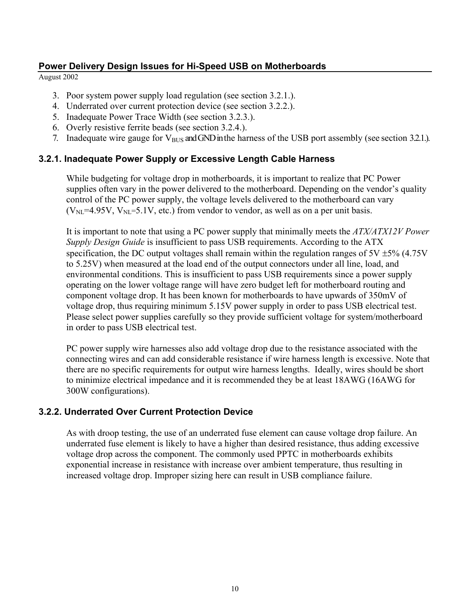<span id="page-10-0"></span>August 2002

- 3. Poor system power supply load regulation (see section 3.2.1.).
- 4. Underrated over current protection device (see section 3.2.2.).
- 5. Inadequate Power Trace Width (see section 3.2.3.).
- 6. Overly resistive ferrite beads (see section 3.2.4.).
- 7. Inadequate wire gauge for  $V_{\text{BUS}}$  and GND in the harness of the USB port assembly (see section 3.2.1.).

#### **3.2.1. Inadequate Power Supply or Excessive Length Cable Harness**

While budgeting for voltage drop in motherboards, it is important to realize that PC Power supplies often vary in the power delivered to the motherboard. Depending on the vendor's quality control of the PC power supply, the voltage levels delivered to the motherboard can vary  $(V_{NL}=4.95V, V_{NL}=5.1V,$  etc.) from vendor to vendor, as well as on a per unit basis.

It is important to note that using a PC power supply that minimally meets the *ATX/ATX12V Power Supply Design Guide* is insufficient to pass USB requirements. According to the ATX specification, the DC output voltages shall remain within the regulation ranges of  $5V \pm 5\%$  (4.75V to 5.25V) when measured at the load end of the output connectors under all line, load, and environmental conditions. This is insufficient to pass USB requirements since a power supply operating on the lower voltage range will have zero budget left for motherboard routing and component voltage drop. It has been known for motherboards to have upwards of 350mV of voltage drop, thus requiring minimum 5.15V power supply in order to pass USB electrical test. Please select power supplies carefully so they provide sufficient voltage for system/motherboard in order to pass USB electrical test.

PC power supply wire harnesses also add voltage drop due to the resistance associated with the connecting wires and can add considerable resistance if wire harness length is excessive. Note that there are no specific requirements for output wire harness lengths. Ideally, wires should be short to minimize electrical impedance and it is recommended they be at least 18AWG (16AWG for 300W configurations).

#### **3.2.2. Underrated Over Current Protection Device**

As with droop testing, the use of an underrated fuse element can cause voltage drop failure. An underrated fuse element is likely to have a higher than desired resistance, thus adding excessive voltage drop across the component. The commonly used PPTC in motherboards exhibits exponential increase in resistance with increase over ambient temperature, thus resulting in increased voltage drop. Improper sizing here can result in USB compliance failure.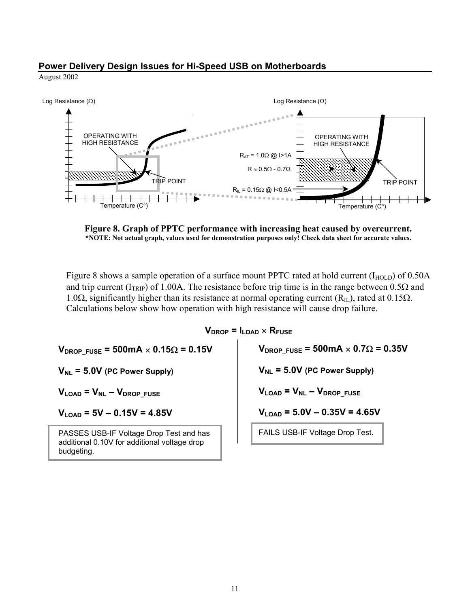August 2002



**Figure 8. Graph of PPTC performance with increasing heat caused by overcurrent. \*NOTE: Not actual graph, values used for demonstration purposes only! Check data sheet for accurate values.**

Figure 8 shows a sample operation of a surface mount PPTC rated at hold current  $(I_{HOLD})$  of 0.50A and trip current ( $I_{TRIP}$ ) of 1.00A. The resistance before trip time is in the range between 0.5 $\Omega$  and 1.0Ω, significantly higher than its resistance at normal operating current (R<sub>IL</sub>), rated at 0.15Ω. Calculations below show how operation with high resistance will cause drop failure.

 $V_{\text{DROP}} = I_{\text{LOAD}} \times R_{\text{FUSE}}$ 

 $V_{\text{DROP FUSE}}$  = 500mA  $\times$  0.15 $\Omega$  = 0.15V

 $V_{NL}$  = 5.0V (PC Power Supply)

 $V_{\text{LOAD}} = V_{\text{NL}} - V_{\text{DROP}}$  FUSE

 $V_{LQAD}$  = 5V – 0.15V = 4.85V

PASSES USB-IF Voltage Drop Test and has additional 0.10V for additional voltage drop budgeting.

 $V_{\text{DROP FUSE}}$  = 500mA  $\times$  0.7 $\Omega$  = 0.35V

 $V_{NL}$  = 5.0V (PC Power Supply)

 $V_{\text{LOAD}} = V_{\text{NL}} - V_{\text{DROP}}$  Fuse

 $V_{\text{LOAD}}$  = 5.0V  $-$  0.35V = 4.65V

FAILS USB-IF Voltage Drop Test.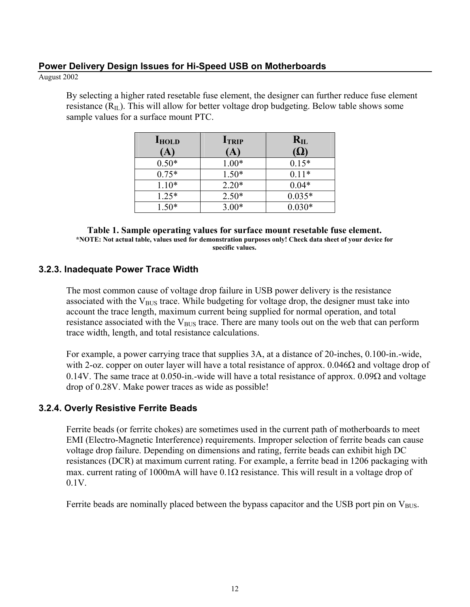#### <span id="page-12-0"></span>August 2002

By selecting a higher rated resetable fuse element, the designer can further reduce fuse element resistance  $(R<sub>II</sub>)$ . This will allow for better voltage drop budgeting. Below table shows some sample values for a surface mount PTC.

| <b>IHOLD</b> | <b>ITRIP</b> | $R_{IL}$    |
|--------------|--------------|-------------|
| $\mathbf{A}$ | $\mathbf A$  | ( <u>L)</u> |
| $0.50*$      | $1.00*$      | $0.15*$     |
| $0.75*$      | $1.50*$      | $0.11*$     |
| $1.10*$      | $2.20*$      | $0.04*$     |
| $1.25*$      | $2.50*$      | $0.035*$    |
| $1.50*$      | $3.00*$      | $0.030*$    |

**Table 1. Sample operating values for surface mount resetable fuse element. \*NOTE: Not actual table, values used for demonstration purposes only! Check data sheet of your device for specific values.**

#### **3.2.3. Inadequate Power Trace Width**

The most common cause of voltage drop failure in USB power delivery is the resistance associated with the  $V_{\text{BUS}}$  trace. While budgeting for voltage drop, the designer must take into account the trace length, maximum current being supplied for normal operation, and total resistance associated with the  $V_{\text{RUS}}$  trace. There are many tools out on the web that can perform trace width, length, and total resistance calculations.

For example, a power carrying trace that supplies 3A, at a distance of 20-inches, 0.100-in.-wide, with 2-oz. copper on outer layer will have a total resistance of approx. 0.046Ω and voltage drop of 0.14V. The same trace at 0.050-in.-wide will have a total resistance of approx. 0.09Ω and voltage drop of 0.28V. Make power traces as wide as possible!

#### **3.2.4. Overly Resistive Ferrite Beads**

Ferrite beads (or ferrite chokes) are sometimes used in the current path of motherboards to meet EMI (Electro-Magnetic Interference) requirements. Improper selection of ferrite beads can cause voltage drop failure. Depending on dimensions and rating, ferrite beads can exhibit high DC resistances (DCR) at maximum current rating. For example, a ferrite bead in 1206 packaging with max. current rating of 1000mA will have  $0.1\Omega$  resistance. This will result in a voltage drop of 0.1V.

Ferrite beads are nominally placed between the bypass capacitor and the USB port pin on  $V_{\text{BUS}}$ .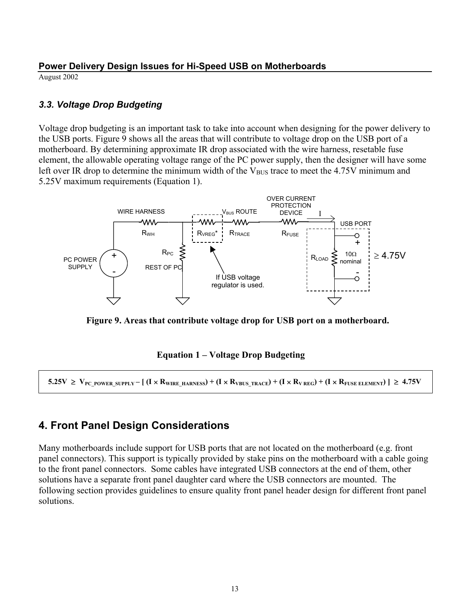<span id="page-13-0"></span>August 2002

#### *3.3. Voltage Drop Budgeting*

Voltage drop budgeting is an important task to take into account when designing for the power delivery to the USB ports. Figure 9 shows all the areas that will contribute to voltage drop on the USB port of a motherboard. By determining approximate IR drop associated with the wire harness, resetable fuse element, the allowable operating voltage range of the PC power supply, then the designer will have some left over IR drop to determine the minimum width of the  $V_{BUS}$  trace to meet the 4.75V minimum and 5.25V maximum requirements (Equation 1).



**Figure 9. Areas that contribute voltage drop for USB port on a motherboard.** 

#### **Equation 1 – Voltage Drop Budgeting**

 $5.25V$  ≥  $V_{PC}$  power supply – [ (I × R<sub>WIRE HARNESS</sub>) + (I × R<sub>VBUS</sub> TRACE) + (I × R<sub>V REG</sub>) + (I × R<sub>FUSE ELEMENT</sub>) | ≥ 4.75V

#### **4. Front Panel Design Considerations**

Many motherboards include support for USB ports that are not located on the motherboard (e.g. front panel connectors). This support is typically provided by stake pins on the motherboard with a cable going to the front panel connectors. Some cables have integrated USB connectors at the end of them, other solutions have a separate front panel daughter card where the USB connectors are mounted. The following section provides guidelines to ensure quality front panel header design for different front panel solutions.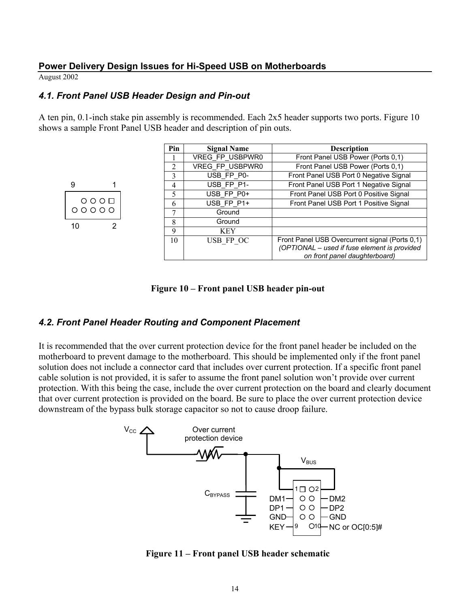<span id="page-14-0"></span>August 2002

#### *4.1. Front Panel USB Header Design and Pin-out*

A ten pin, 0.1-inch stake pin assembly is recommended. Each 2x5 header supports two ports. Figure 10 shows a sample Front Panel USB header and description of pin outs.

|                          | Pin         | <b>Signal Name</b> | <b>Description</b>                                                                                                              |
|--------------------------|-------------|--------------------|---------------------------------------------------------------------------------------------------------------------------------|
|                          |             | VREG FP USBPWR0    | Front Panel USB Power (Ports 0,1)                                                                                               |
|                          | 2           | VREG FP USBPWR0    | Front Panel USB Power (Ports 0,1)                                                                                               |
|                          | 3           | USB FP P0-         | Front Panel USB Port 0 Negative Signal                                                                                          |
| 9                        | 4           | USB FP P1-         | Front Panel USB Port 1 Negative Signal                                                                                          |
|                          | 5           | USB FP P0+         | Front Panel USB Port 0 Positive Signal                                                                                          |
| $\circ \circ \circ \Box$ | 6           | USB FP P1+         | Front Panel USB Port 1 Positive Signal                                                                                          |
| 00000                    |             | Ground             |                                                                                                                                 |
| 10                       | 8           | Ground             |                                                                                                                                 |
|                          | $\mathbf Q$ | <b>KEY</b>         |                                                                                                                                 |
|                          | 10          | USB FP OC          | Front Panel USB Overcurrent signal (Ports 0,1)<br>(OPTIONAL - used if fuse element is provided<br>on front panel daughterboard) |

**Figure 10 – Front panel USB header pin-out** 

#### *4.2. Front Panel Header Routing and Component Placement*

It is recommended that the over current protection device for the front panel header be included on the motherboard to prevent damage to the motherboard. This should be implemented only if the front panel solution does not include a connector card that includes over current protection. If a specific front panel cable solution is not provided, it is safer to assume the front panel solution won't provide over current protection. With this being the case, include the over current protection on the board and clearly document that over current protection is provided on the board. Be sure to place the over current protection device downstream of the bypass bulk storage capacitor so not to cause droop failure.



**Figure 11 – Front panel USB header schematic**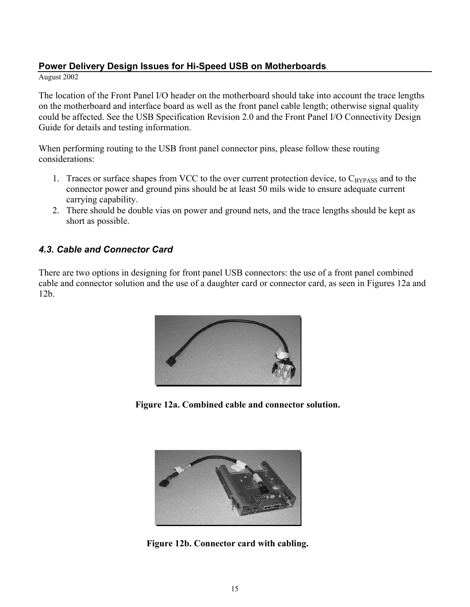<span id="page-15-0"></span>August 2002

The location of the Front Panel I/O header on the motherboard should take into account the trace lengths on the motherboard and interface board as well as the front panel cable length; otherwise signal quality could be affected. See the USB Specification Revision 2.0 and the Front Panel I/O Connectivity Design Guide for details and testing information.

When performing routing to the USB front panel connector pins, please follow these routing considerations:

- 1. Traces or surface shapes from VCC to the over current protection device, to  $C_{BYPASS}$  and to the connector power and ground pins should be at least 50 mils wide to ensure adequate current carrying capability.
- 2. There should be double vias on power and ground nets, and the trace lengths should be kept as short as possible.

#### *4.3. Cable and Connector Card*

There are two options in designing for front panel USB connectors: the use of a front panel combined cable and connector solution and the use of a daughter card or connector card, as seen in Figures 12a and 12b.



**Figure 12a. Combined cable and connector solution.** 



**Figure 12b. Connector card with cabling.**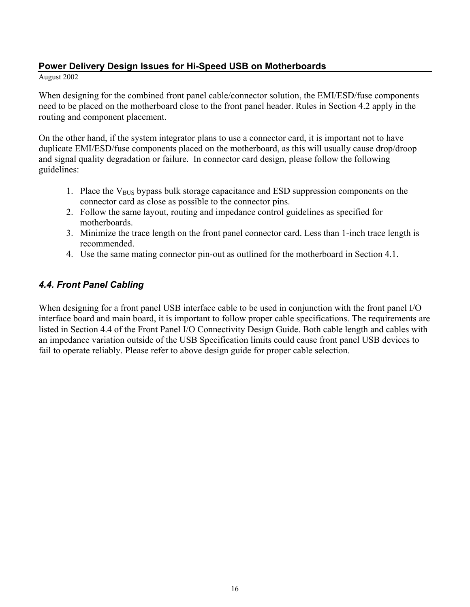#### <span id="page-16-0"></span>August 2002

When designing for the combined front panel cable/connector solution, the EMI/ESD/fuse components need to be placed on the motherboard close to the front panel header. Rules in Section 4.2 apply in the routing and component placement.

On the other hand, if the system integrator plans to use a connector card, it is important not to have duplicate EMI/ESD/fuse components placed on the motherboard, as this will usually cause drop/droop and signal quality degradation or failure. In connector card design, please follow the following guidelines:

- 1. Place the  $V_{\text{BUS}}$  bypass bulk storage capacitance and ESD suppression components on the connector card as close as possible to the connector pins.
- 2. Follow the same layout, routing and impedance control guidelines as specified for motherboards.
- 3. Minimize the trace length on the front panel connector card. Less than 1-inch trace length is recommended.
- 4. Use the same mating connector pin-out as outlined for the motherboard in Section 4.1.

#### *4.4. Front Panel Cabling*

When designing for a front panel USB interface cable to be used in conjunction with the front panel I/O interface board and main board, it is important to follow proper cable specifications. The requirements are listed in Section 4.4 of the Front Panel I/O Connectivity Design Guide. Both cable length and cables with an impedance variation outside of the USB Specification limits could cause front panel USB devices to fail to operate reliably. Please refer to above design guide for proper cable selection.